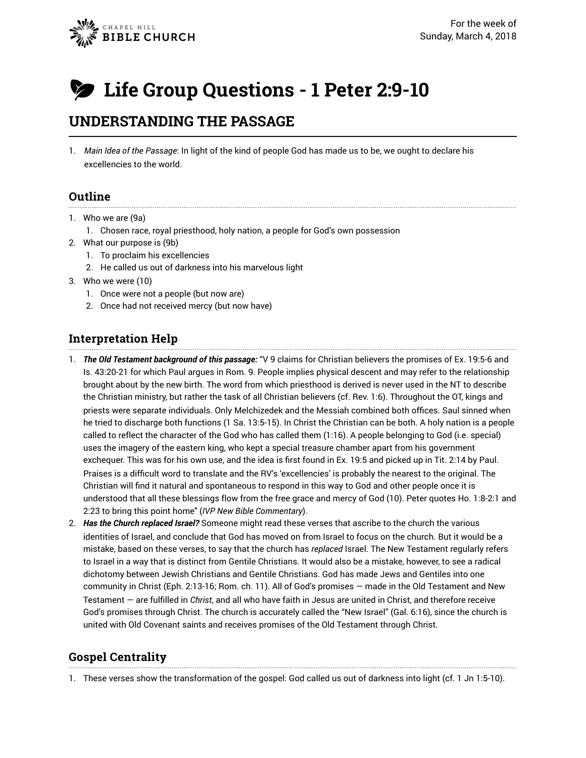

# **Life Group Questions - 1 Peter 2:9-10**

# **UNDERSTANDING THE PASSAGE**

1. *Main Idea of the Passage*: In light of the kind of people God has made us to be, we ought to declare his excellencies to the world.

#### **Outline**

- 1. Who we are (9a)
	- 1. Chosen race, royal priesthood, holy nation, a people for God's own possession
- 2. What our purpose is (9b)
	- 1. To proclaim his excellencies
	- 2. He called us out of darkness into his marvelous light
- 3. Who we were (10)
	- 1. Once were not a people (but now are)
	- 2. Once had not received mercy (but now have)

## **Interpretation Help**

- 1. *The Old Testament background of this passage:* "V 9 claims for Christian believers the promises of Ex. 19:5-6 and Is. 43:20-21 for which Paul argues in Rom. 9. People implies physical descent and may refer to the relationship brought about by the new birth. The word from which priesthood is derived is never used in the NT to describe the Christian ministry, but rather the task of all Christian believers (cf. Rev. 1:6). Throughout the OT, kings and priests were separate individuals. Only Melchizedek and the Messiah combined both offices. Saul sinned when he tried to discharge both functions (1 Sa. 13:5-15). In Christ the Christian can be both. A holy nation is a people called to reflect the character of the God who has called them (1:16). A people belonging to God (i.e. special) uses the imagery of the eastern king, who kept a special treasure chamber apart from his government exchequer. This was for his own use, and the idea is first found in Ex. 19:5 and picked up in Tit. 2:14 by Paul. Praises is a difficult word to translate and the RV's 'excellencies' is probably the nearest to the original. The Christian will find it natural and spontaneous to respond in this way to God and other people once it is understood that all these blessings flow from the free grace and mercy of God (10). Peter quotes Ho. 1:8-2:1 and 2:23 to bring this point home" (*IVP New Bible Commentary*).
- 2. *Has the Church replaced Israel?* Someone might read these verses that ascribe to the church the various identities of Israel, and conclude that God has moved on from Israel to focus on the church. But it would be a mistake, based on these verses, to say that the church has *replaced* Israel. The New Testament regularly refers to Israel in a way that is distinct from Gentile Christians. It would also be a mistake, however, to see a radical dichotomy between Jewish Christians and Gentile Christians. God has made Jews and Gentiles into one community in Christ (Eph. 2:13-16; Rom. ch. 11). All of God's promises — made in the Old Testament and New Testament — are fulfilled in *Christ*, and all who have faith in Jesus are united in Christ, and therefore receive God's promises through Christ. The church is accurately called the "New Israel" (Gal. 6:16), since the church is united with Old Covenant saints and receives promises of the Old Testament through Christ.

# **Gospel Centrality**

1. These verses show the transformation of the gospel: God called us out of darkness into light (cf. 1 Jn 1:5-10).